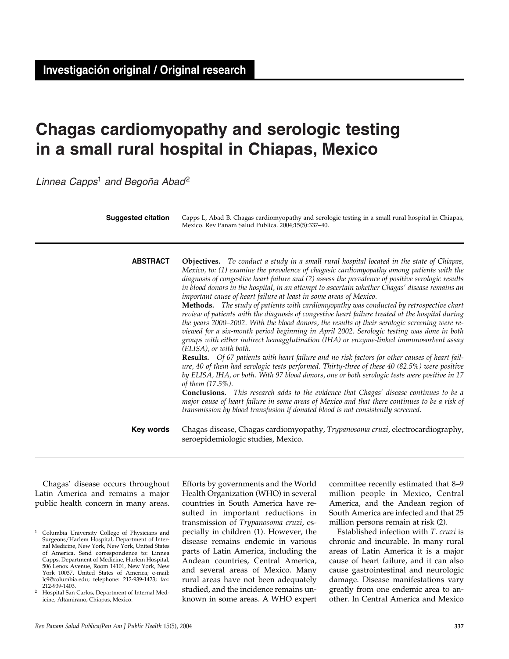# **Chagas cardiomyopathy and serologic testing in a small rural hospital in Chiapas, Mexico**

*Linnea Capps*<sup>1</sup> *and Begoña Abad*<sup>2</sup>

| <b>Suggested citation</b> | Capps L, Abad B. Chagas cardiomyopathy and serologic testing in a small rural hospital in Chiapas,<br>Mexico. Rev Panam Salud Publica. 2004;15(5):337-40.                                                                                                                                                                                                                                                                                                                                                                                                                                                                                                                                                                                                                                                                                                                                                                                                                                                                                                                                                                                                                                                                                                                                                                                                                                                                                                                                                                                                                                                             |  |  |  |  |
|---------------------------|-----------------------------------------------------------------------------------------------------------------------------------------------------------------------------------------------------------------------------------------------------------------------------------------------------------------------------------------------------------------------------------------------------------------------------------------------------------------------------------------------------------------------------------------------------------------------------------------------------------------------------------------------------------------------------------------------------------------------------------------------------------------------------------------------------------------------------------------------------------------------------------------------------------------------------------------------------------------------------------------------------------------------------------------------------------------------------------------------------------------------------------------------------------------------------------------------------------------------------------------------------------------------------------------------------------------------------------------------------------------------------------------------------------------------------------------------------------------------------------------------------------------------------------------------------------------------------------------------------------------------|--|--|--|--|
| <b>ABSTRACT</b>           | <b>Objectives.</b> To conduct a study in a small rural hospital located in the state of Chiapas,<br>Mexico, to: (1) examine the prevalence of chagasic cardiomyopathy among patients with the<br>diagnosis of congestive heart failure and (2) assess the prevalence of positive serologic results<br>in blood donors in the hospital, in an attempt to ascertain whether Chagas' disease remains an<br>important cause of heart failure at least in some areas of Mexico.<br>Methods. The study of patients with cardiomyopathy was conducted by retrospective chart<br>review of patients with the diagnosis of congestive heart failure treated at the hospital during<br>the years 2000–2002. With the blood donors, the results of their serologic screening were re-<br>viewed for a six-month period beginning in April 2002. Serologic testing was done in both<br>groups with either indirect hemagglutination (IHA) or enzyme-linked immunosorbent assay<br>(ELISA), or with both.<br><b>Results.</b> Of 67 patients with heart failure and no risk factors for other causes of heart fail-<br>ure, 40 of them had serologic tests performed. Thirty-three of these 40 (82.5%) were positive<br>by ELISA, IHA, or both. With 97 blood donors, one or both serologic tests were positive in 17<br>of them $(17.5\%)$ .<br><b>Conclusions.</b> This research adds to the evidence that Chagas' disease continues to be a<br>major cause of heart failure in some areas of Mexico and that there continues to be a risk of<br>transmission by blood transfusion if donated blood is not consistently screened. |  |  |  |  |
| Key words                 | Chagas disease, Chagas cardiomyopathy, Trypanosoma cruzi, electrocardiography,<br>seroepidemiologic studies, Mexico.                                                                                                                                                                                                                                                                                                                                                                                                                                                                                                                                                                                                                                                                                                                                                                                                                                                                                                                                                                                                                                                                                                                                                                                                                                                                                                                                                                                                                                                                                                  |  |  |  |  |

Chagas' disease occurs throughout Latin America and remains a major public health concern in many areas.

Efforts by governments and the World Health Organization (WHO) in several countries in South America have resulted in important reductions in transmission of *Trypanosoma cruzi*, especially in children (1). However, the disease remains endemic in various parts of Latin America, including the Andean countries, Central America, and several areas of Mexico. Many rural areas have not been adequately studied, and the incidence remains unknown in some areas. A WHO expert

committee recently estimated that 8–9 million people in Mexico, Central America, and the Andean region of South America are infected and that 25 million persons remain at risk (2).

Established infection with *T. cruzi* is chronic and incurable. In many rural areas of Latin America it is a major cause of heart failure, and it can also cause gastrointestinal and neurologic damage. Disease manifestations vary greatly from one endemic area to another. In Central America and Mexico

<sup>1</sup> Columbia University College of Physicians and Surgeons/Harlem Hospital, Department of Internal Medicine, New York, New York, United States of America. Send correspondence to: Linnea Capps, Department of Medicine, Harlem Hospital, 506 Lenox Avenue, Room 14101, New York, New York 10037, United States of America; e-mail: lc9@columbia.edu; telephone: 212-939-1423; fax:

Hospital San Carlos, Department of Internal Medicine, Altamirano, Chiapas, Mexico.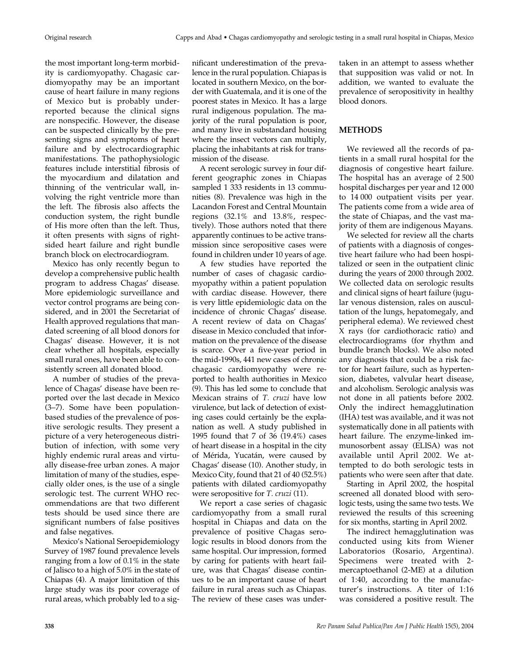the most important long-term morbidity is cardiomyopathy. Chagasic cardiomyopathy may be an important cause of heart failure in many regions of Mexico but is probably underreported because the clinical signs are nonspecific. However, the disease can be suspected clinically by the presenting signs and symptoms of heart failure and by electrocardiographic manifestations. The pathophysiologic features include interstitial fibrosis of the myocardium and dilatation and thinning of the ventricular wall, involving the right ventricle more than the left. The fibrosis also affects the conduction system, the right bundle of His more often than the left. Thus, it often presents with signs of rightsided heart failure and right bundle branch block on electrocardiogram.

Mexico has only recently begun to develop a comprehensive public health program to address Chagas' disease. More epidemiologic surveillance and vector control programs are being considered, and in 2001 the Secretariat of Health approved regulations that mandated screening of all blood donors for Chagas' disease. However, it is not clear whether all hospitals, especially small rural ones, have been able to consistently screen all donated blood.

A number of studies of the prevalence of Chagas' disease have been reported over the last decade in Mexico (3–7). Some have been populationbased studies of the prevalence of positive serologic results. They present a picture of a very heterogeneous distribution of infection, with some very highly endemic rural areas and virtually disease-free urban zones. A major limitation of many of the studies, especially older ones, is the use of a single serologic test. The current WHO recommendations are that two different tests should be used since there are significant numbers of false positives and false negatives.

Mexico's National Seroepidemiology Survey of 1987 found prevalence levels ranging from a low of 0.1% in the state of Jalisco to a high of 5.0% in the state of Chiapas (4). A major limitation of this large study was its poor coverage of rural areas, which probably led to a significant underestimation of the prevalence in the rural population. Chiapas is located in southern Mexico, on the border with Guatemala, and it is one of the poorest states in Mexico. It has a large rural indigenous population. The majority of the rural population is poor, and many live in substandard housing where the insect vectors can multiply, placing the inhabitants at risk for transmission of the disease.

A recent serologic survey in four different geographic zones in Chiapas sampled 1 333 residents in 13 communities (8). Prevalence was high in the Lacandon Forest and Central Mountain regions (32.1% and 13.8%, respectively). Those authors noted that there apparently continues to be active transmission since seropositive cases were found in children under 10 years of age.

A few studies have reported the number of cases of chagasic cardiomyopathy within a patient population with cardiac disease. However, there is very little epidemiologic data on the incidence of chronic Chagas' disease. A recent review of data on Chagas' disease in Mexico concluded that information on the prevalence of the disease is scarce. Over a five-year period in the mid-1990s, 441 new cases of chronic chagasic cardiomyopathy were reported to health authorities in Mexico (9). This has led some to conclude that Mexican strains of *T. cruzi* have low virulence, but lack of detection of existing cases could certainly be the explanation as well. A study published in 1995 found that 7 of 36 (19.4%) cases of heart disease in a hospital in the city of Mérida, Yucatán, were caused by Chagas' disease (10). Another study, in Mexico City, found that 21 of 40 (52.5%) patients with dilated cardiomyopathy were seropositive for *T. cruzi* (11).

We report a case series of chagasic cardiomyopathy from a small rural hospital in Chiapas and data on the prevalence of positive Chagas serologic results in blood donors from the same hospital. Our impression, formed by caring for patients with heart failure, was that Chagas' disease continues to be an important cause of heart failure in rural areas such as Chiapas. The review of these cases was undertaken in an attempt to assess whether that supposition was valid or not. In addition, we wanted to evaluate the prevalence of seropositivity in healthy blood donors.

# **METHODS**

We reviewed all the records of patients in a small rural hospital for the diagnosis of congestive heart failure. The hospital has an average of 2 500 hospital discharges per year and 12 000 to 14 000 outpatient visits per year. The patients come from a wide area of the state of Chiapas, and the vast majority of them are indigenous Mayans.

We selected for review all the charts of patients with a diagnosis of congestive heart failure who had been hospitalized or seen in the outpatient clinic during the years of 2000 through 2002. We collected data on serologic results and clinical signs of heart failure (jugular venous distension, rales on auscultation of the lungs, hepatomegaly, and peripheral edema). We reviewed chest X rays (for cardiothoracic ratio) and electrocardiograms (for rhythm and bundle branch blocks). We also noted any diagnosis that could be a risk factor for heart failure, such as hypertension, diabetes, valvular heart disease, and alcoholism. Serologic analysis was not done in all patients before 2002. Only the indirect hemagglutination (IHA) test was available, and it was not systematically done in all patients with heart failure. The enzyme-linked immunosorbent assay (ELISA) was not available until April 2002. We attempted to do both serologic tests in patients who were seen after that date.

Starting in April 2002, the hospital screened all donated blood with serologic tests, using the same two tests. We reviewed the results of this screening for six months, starting in April 2002.

The indirect hemagglutination was conducted using kits from Wiener Laboratorios (Rosario, Argentina). Specimens were treated with 2 mercaptoethanol (2-ME) at a dilution of 1:40, according to the manufacturer's instructions. A titer of 1:16 was considered a positive result. The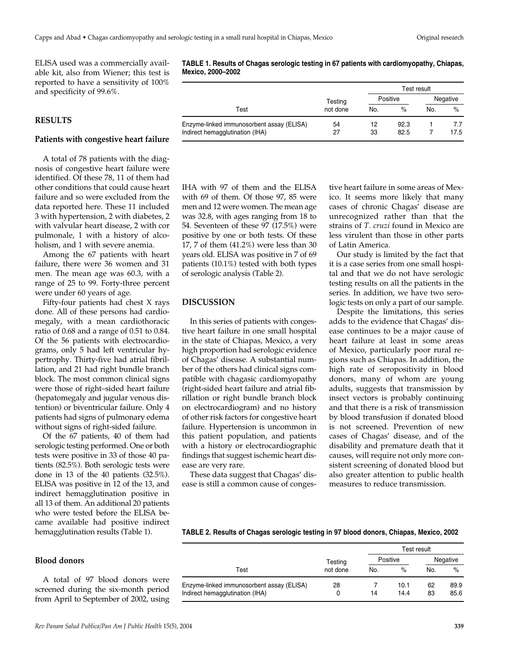ELISA used was a commercially available kit, also from Wiener; this test is reported to have a sensitivity of 100% and specificity of 99.6%.

# **RESULTS**

#### **Patients with congestive heart failure**

A total of 78 patients with the diagnosis of congestive heart failure were identified. Of these 78, 11 of them had other conditions that could cause heart failure and so were excluded from the data reported here. These 11 included 3 with hypertension, 2 with diabetes, 2 with valvular heart disease, 2 with cor pulmonale, 1 with a history of alcoholism, and 1 with severe anemia.

Among the 67 patients with heart failure, there were 36 women and 31 men. The mean age was 60.3, with a range of 25 to 99. Forty-three percent were under 60 years of age.

Fifty-four patients had chest X rays done. All of these persons had cardiomegaly, with a mean cardiothoracic ratio of 0.68 and a range of 0.51 to 0.84. Of the 56 patients with electrocardiograms, only 5 had left ventricular hypertrophy. Thirty-five had atrial fibrillation, and 21 had right bundle branch block. The most common clinical signs were those of right–sided heart failure (hepatomegaly and jugular venous distention) or biventricular failure. Only 4 patients had signs of pulmonary edema without signs of right-sided failure.

Of the 67 patients, 40 of them had serologic testing performed. One or both tests were positive in 33 of those 40 patients (82.5%). Both serologic tests were done in 13 of the 40 patients (32.5%). ELISA was positive in 12 of the 13, and indirect hemagglutination positive in all 13 of them. An additional 20 patients who were tested before the ELISA became available had positive indirect hemagglutination results (Table 1).

**TABLE 1. Results of Chagas serologic testing in 67 patients with cardiomyopathy, Chiapas, Mexico, 2000–2002**

|                                           |                     | Test result |      |          |      |
|-------------------------------------------|---------------------|-------------|------|----------|------|
|                                           | Testing<br>not done | Positive    |      | Negative |      |
| Test                                      |                     | No.         | $\%$ | No.      | $\%$ |
| Enzyme-linked immunosorbent assay (ELISA) | 54                  | 12          | 92.3 |          | 7.7  |
| Indirect hemagglutination (IHA)           | 27                  | 33          | 82.5 |          | 17.5 |

IHA with 97 of them and the ELISA with 69 of them. Of those 97, 85 were men and 12 were women. The mean age was 32.8, with ages ranging from 18 to 54. Seventeen of these 97 (17.5%) were positive by one or both tests. Of these 17, 7 of them (41.2%) were less than 30 years old. ELISA was positive in 7 of 69 patients (10.1%) tested with both types of serologic analysis (Table 2).

# **DISCUSSION**

In this series of patients with congestive heart failure in one small hospital in the state of Chiapas, Mexico, a very high proportion had serologic evidence of Chagas' disease. A substantial number of the others had clinical signs compatible with chagasic cardiomyopathy (right-sided heart failure and atrial fibrillation or right bundle branch block on electrocardiogram) and no history of other risk factors for congestive heart failure. Hypertension is uncommon in this patient population, and patients with a history or electrocardiographic findings that suggest ischemic heart disease are very rare.

These data suggest that Chagas' disease is still a common cause of conges-

tive heart failure in some areas of Mexico. It seems more likely that many cases of chronic Chagas' disease are unrecognized rather than that the strains of *T. cruzi* found in Mexico are less virulent than those in other parts of Latin America.

Our study is limited by the fact that it is a case series from one small hospital and that we do not have serologic testing results on all the patients in the series. In addition, we have two serologic tests on only a part of our sample.

Despite the limitations, this series adds to the evidence that Chagas' disease continues to be a major cause of heart failure at least in some areas of Mexico, particularly poor rural regions such as Chiapas. In addition, the high rate of seropositivity in blood donors, many of whom are young adults, suggests that transmission by insect vectors is probably continuing and that there is a risk of transmission by blood transfusion if donated blood is not screened. Prevention of new cases of Chagas' disease, and of the disability and premature death that it causes, will require not only more consistent screening of donated blood but also greater attention to public health measures to reduce transmission.

### **TABLE 2. Results of Chagas serologic testing in 97 blood donors, Chiapas, Mexico, 2002**

# **Blood donors**

A total of 97 blood donors were screened during the six-month period from April to September of 2002, using

|                                           | Testing  | Test result |      |             |      |
|-------------------------------------------|----------|-------------|------|-------------|------|
|                                           |          | Positive    |      | Negative    |      |
| Test                                      | not done | No.         | $\%$ | $\%$<br>No. |      |
| Enzyme-linked immunosorbent assay (ELISA) | 28       |             | 10.1 | 62          | 89.9 |
| Indirect hemagglutination (IHA)           | 0        | 14          | 14.4 | 83          | 85.6 |